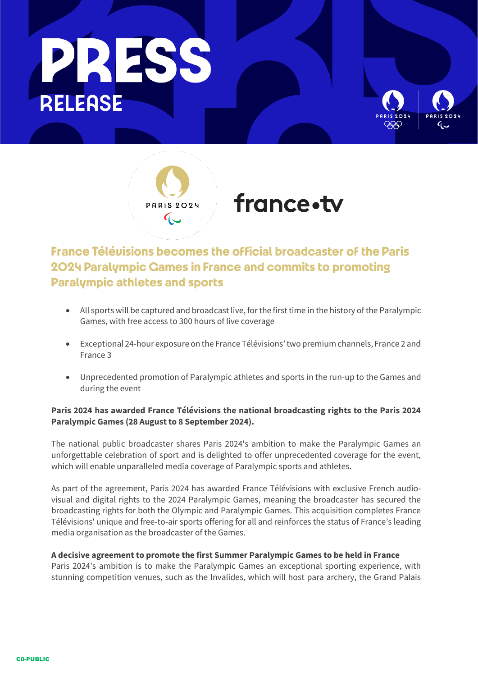





# **France Télévisions becomes the official broadcaster of the Paris** 2024 Paralympic Games in France and commits to promoting **Paralympic athletes and sports**

- All sports will be captured and broadcast live, for the first time in the history of the Paralympic Games, with free access to 300 hours of live coverage
- Exceptional 24-hour exposure on the France Télévisions' two premium channels, France 2 and France 3
- Unprecedented promotion of Paralympic athletes and sports in the run-up to the Games and during the event

# **Paris 2024 has awarded France Télévisions the national broadcasting rights to the Paris 2024 Paralympic Games (28 August to 8 September 2024).**

The national public broadcaster shares Paris 2024's ambition to make the Paralympic Games an unforgettable celebration of sport and is delighted to offer unprecedented coverage for the event, which will enable unparalleled media coverage of Paralympic sports and athletes.

As part of the agreement, Paris 2024 has awarded France Télévisions with exclusive French audiovisual and digital rights to the 2024 Paralympic Games, meaning the broadcaster has secured the broadcasting rights for both the Olympic and Paralympic Games. This acquisition completes France Télévisions' unique and free-to-air sports offering for all and reinforces the status of France's leading media organisation as the broadcaster of the Games.

## **A decisive agreement to promote the first Summer Paralympic Games to be held in France**

Paris 2024's ambition is to make the Paralympic Games an exceptional sporting experience, with stunning competition venues, such as the Invalides, which will host para archery, the Grand Palais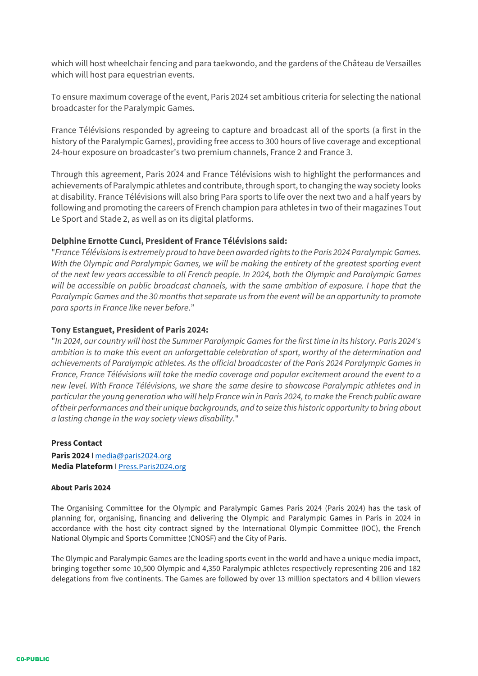which will host wheelchair fencing and para taekwondo, and the gardens of the Château de Versailles which will host para equestrian events.

To ensure maximum coverage of the event, Paris 2024 set ambitious criteria for selecting the national broadcaster for the Paralympic Games.

France Télévisions responded by agreeing to capture and broadcast all of the sports (a first in the history of the Paralympic Games), providing free access to 300 hours of live coverage and exceptional 24-hour exposure on broadcaster's two premium channels, France 2 and France 3.

Through this agreement, Paris 2024 and France Télévisions wish to highlight the performances and achievements of Paralympic athletes and contribute, through sport, to changing the way society looks at disability. France Télévisions will also bring Para sports to life over the next two and a half years by following and promoting the careers of French champion para athletes in two of their magazines Tout Le Sport and Stade 2, as well as on its digital platforms.

## **Delphine Ernotte Cunci, President of France Télévisions said:**

"*France Télévisions is extremely proud to have been awarded rights to the Paris 2024 Paralympic Games. With the Olympic and Paralympic Games, we will be making the entirety of the greatest sporting event of the next few years accessible to all French people. In 2024, both the Olympic and Paralympic Games will be accessible on public broadcast channels, with the same ambition of exposure. I hope that the Paralympic Games and the 30 months that separate us from the event will be an opportunity to promote para sports in France like never before*."

#### **Tony Estanguet, President of Paris 2024:**

"*In 2024, our country will host the Summer Paralympic Games for the first time in its history. Paris 2024's ambition is to make this event an unforgettable celebration of sport, worthy of the determination and achievements of Paralympic athletes. As the official broadcaster of the Paris 2024 Paralympic Games in France, France Télévisions will take the media coverage and popular excitement around the event to a new level. With France Télévisions, we share the same desire to showcase Paralympic athletes and in particular the young generation who will help France win in Paris 2024, to make the French public aware of their performances and their unique backgrounds, and to seize this historic opportunity to bring about a lasting change in the way society views disability*."

#### **Press Contact**

**Paris 2024** I [media@paris2024.org](mailto:media@paris2024.org)  **Media Plateform** I [Press.Paris2024.org](https://press.paris2024.org/)

#### **About Paris 2024**

The Organising Committee for the Olympic and Paralympic Games Paris 2024 (Paris 2024) has the task of planning for, organising, financing and delivering the Olympic and Paralympic Games in Paris in 2024 in accordance with the host city contract signed by the International Olympic Committee (IOC), the French National Olympic and Sports Committee (CNOSF) and the City of Paris.

The Olympic and Paralympic Games are the leading sports event in the world and have a unique media impact, bringing together some 10,500 Olympic and 4,350 Paralympic athletes respectively representing 206 and 182 delegations from five continents. The Games are followed by over 13 million spectators and 4 billion viewers